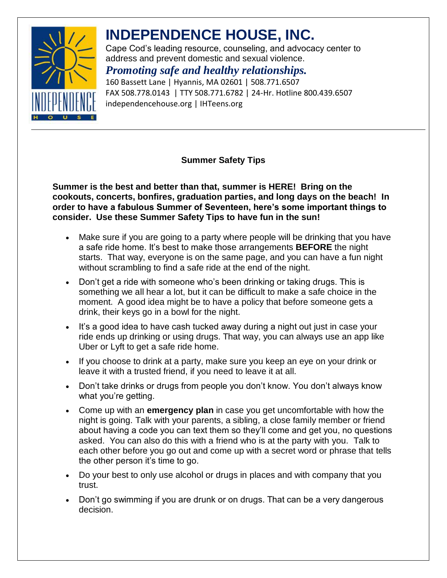

## **INDEPENDENCE HOUSE, INC.**

Cape Cod's leading resource, counseling, and advocacy center to address and prevent domestic and sexual violence.

### *Promoting safe and healthy relationships.*

160 Bassett Lane | Hyannis, MA 02601 | 508.771.6507 FAX 508.778.0143 | TTY 508.771.6782 | 24-Hr. Hotline 800.439.6507 independencehouse.org | IHTeens.org

#### **Summer Safety Tips**

**Summer is the best and better than that, summer is HERE! Bring on the cookouts, concerts, bonfires, graduation parties, and long days on the beach! In order to have a fabulous Summer of Seventeen, here's some important things to consider. Use these Summer Safety Tips to have fun in the sun!**

- Make sure if you are going to a party where people will be drinking that you have a safe ride home. It's best to make those arrangements **BEFORE** the night starts. That way, everyone is on the same page, and you can have a fun night without scrambling to find a safe ride at the end of the night.
- Don't get a ride with someone who's been drinking or taking drugs. This is something we all hear a lot, but it can be difficult to make a safe choice in the moment. A good idea might be to have a policy that before someone gets a drink, their keys go in a bowl for the night.
- It's a good idea to have cash tucked away during a night out just in case your ride ends up drinking or using drugs. That way, you can always use an app like Uber or Lyft to get a safe ride home.
- If you choose to drink at a party, make sure you keep an eye on your drink or leave it with a trusted friend, if you need to leave it at all.
- Don't take drinks or drugs from people you don't know. You don't always know what you're getting.
- Come up with an **emergency plan** in case you get uncomfortable with how the night is going. Talk with your parents, a sibling, a close family member or friend about having a code you can text them so they'll come and get you, no questions asked. You can also do this with a friend who is at the party with you. Talk to each other before you go out and come up with a secret word or phrase that tells the other person it's time to go.
- Do your best to only use alcohol or drugs in places and with company that you trust.
- Don't go swimming if you are drunk or on drugs. That can be a very dangerous decision.